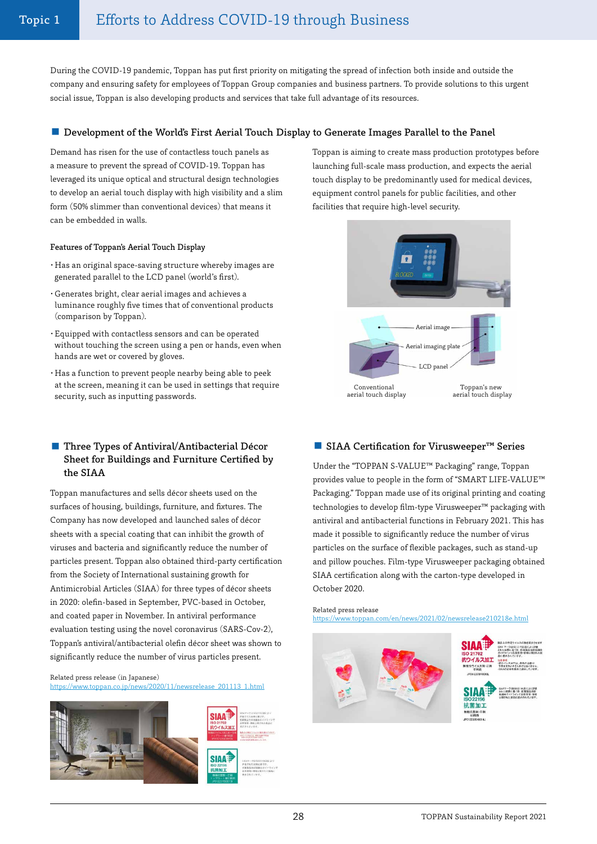During the COVID-19 pandemic, Toppan has put first priority on mitigating the spread of infection both inside and outside the company and ensuring safety for employees of Toppan Group companies and business partners. To provide solutions to this urgent social issue, Toppan is also developing products and services that take full advantage of its resources.

### ■ Development of the World's First Aerial Touch Display to Generate Images Parallel to the Panel

Demand has risen for the use of contactless touch panels as a measure to prevent the spread of COVID-19. Toppan has leveraged its unique optical and structural design technologies to develop an aerial touch display with high visibility and a slim form (50% slimmer than conventional devices) that means it can be embedded in walls.

### Features of Toppan's Aerial Touch Display

- ・Has an original space-saving structure whereby images are generated parallel to the LCD panel (world's first).
- ・Generates bright, clear aerial images and achieves a luminance roughly five times that of conventional products (comparison by Toppan).
- ・Equipped with contactless sensors and can be operated without touching the screen using a pen or hands, even when hands are wet or covered by gloves.
- ・Has a function to prevent people nearby being able to peek at the screen, meaning it can be used in settings that require security, such as inputting passwords.

# ■ Three Types of Antiviral/Antibacterial Décor Sheet for Buildings and Furniture Certified by the SIAA

Toppan manufactures and sells décor sheets used on the surfaces of housing, buildings, furniture, and fixtures. The Company has now developed and launched sales of décor sheets with a special coating that can inhibit the growth of viruses and bacteria and significantly reduce the number of particles present. Toppan also obtained third-party certification from the Society of International sustaining growth for Antimicrobial Articles (SIAA) for three types of décor sheets in 2020: olefin-based in September, PVC-based in October, and coated paper in November. In antiviral performance evaluation testing using the novel coronavirus (SARS-Cov-2), Toppan's antiviral/antibacterial olefin décor sheet was shown to significantly reduce the number of virus particles present.

Related press release (in Japanese) ww.toppan.co.jp/news/2020/11/newsrelease\_201113\_1.html





Toppan is aiming to create mass production prototypes before launching full-scale mass production, and expects the aerial touch display to be predominantly used for medical devices, equipment control panels for public facilities, and other facilities that require high-level security.



### ■ SIAA Certification for Virusweeper<sup>™</sup> Series

Under the "TOPPAN S-VALUE™ Packaging" range, Toppan provides value to people in the form of "SMART LIFE-VALUE™ Packaging." Toppan made use of its original printing and coating technologies to develop film-type Virusweeper™ packaging with antiviral and antibacterial functions in February 2021. This has made it possible to significantly reduce the number of virus particles on the surface of flexible packages, such as stand-up and pillow pouches. Film-type Virusweeper packaging obtained SIAA certification along with the carton-type developed in October 2020.

Related press release <https://www.toppan.com/en/news/2021/02/newsrelease210218e.html>

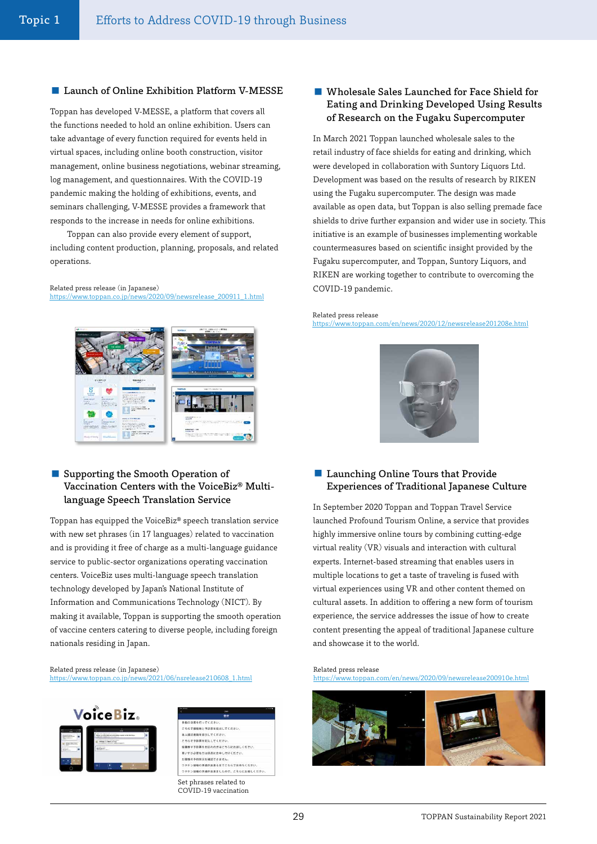### ■ Launch of Online Exhibition Platform V-MESSE

Toppan has developed V-MESSE, a platform that covers all the functions needed to hold an online exhibition. Users can take advantage of every function required for events held in virtual spaces, including online booth construction, visitor management, online business negotiations, webinar streaming, log management, and questionnaires. With the COVID-19 pandemic making the holding of exhibitions, events, and seminars challenging, V-MESSE provides a framework that responds to the increase in needs for online exhibitions.

Toppan can also provide every element of support, including content production, planning, proposals, and related operations.

# Related press release (in Japanese)

[https://www.toppan.co.jp/news/2020/09/newsrelease\\_200911\\_1.html](https://www.toppan.co.jp/news/2020/09/newsrelease_200911_1.html)



## ■ Supporting the Smooth Operation of Vaccination Centers with the VoiceBiz® Multilanguage Speech Translation Service

Toppan has equipped the VoiceBiz® speech translation service with new set phrases (in 17 languages) related to vaccination and is providing it free of charge as a multi-language guidance service to public-sector organizations operating vaccination centers. VoiceBiz uses multi-language speech translation technology developed by Japan's National Institute of Information and Communications Technology (NICT). By making it available, Toppan is supporting the smooth operation of vaccine centers catering to diverse people, including foreign nationals residing in Japan.

#### Related press release (in Japanese) [https://www.toppan.co.jp/news/2021/06/nsrelease210608\\_1.html](https://www.toppan.co.jp/news/2021/06/nsrelease210608_1.html)





## ■ Wholesale Sales Launched for Face Shield for Eating and Drinking Developed Using Results of Research on the Fugaku Supercomputer

In March 2021 Toppan launched wholesale sales to the retail industry of face shields for eating and drinking, which were developed in collaboration with Suntory Liquors Ltd. Development was based on the results of research by RIKEN using the Fugaku supercomputer. The design was made available as open data, but Toppan is also selling premade face shields to drive further expansion and wider use in society. This initiative is an example of businesses implementing workable countermeasures based on scientific insight provided by the Fugaku supercomputer, and Toppan, Suntory Liquors, and RIKEN are working together to contribute to overcoming the COVID-19 pandemic.

### Related press release

<https://www.toppan.com/en/news/2020/12/newsrelease201208e.html>



## ■ Launching Online Tours that Provide Experiences of Traditional Japanese Culture

In September 2020 Toppan and Toppan Travel Service launched Profound Tourism Online, a service that provides highly immersive online tours by combining cutting-edge virtual reality (VR) visuals and interaction with cultural experts. Internet-based streaming that enables users in multiple locations to get a taste of traveling is fused with virtual experiences using VR and other content themed on cultural assets. In addition to offering a new form of tourism experience, the service addresses the issue of how to create content presenting the appeal of traditional Japanese culture and showcase it to the world.

### Related press release

<https://www.toppan.com/en/news/2020/09/newsrelease200910e.html>